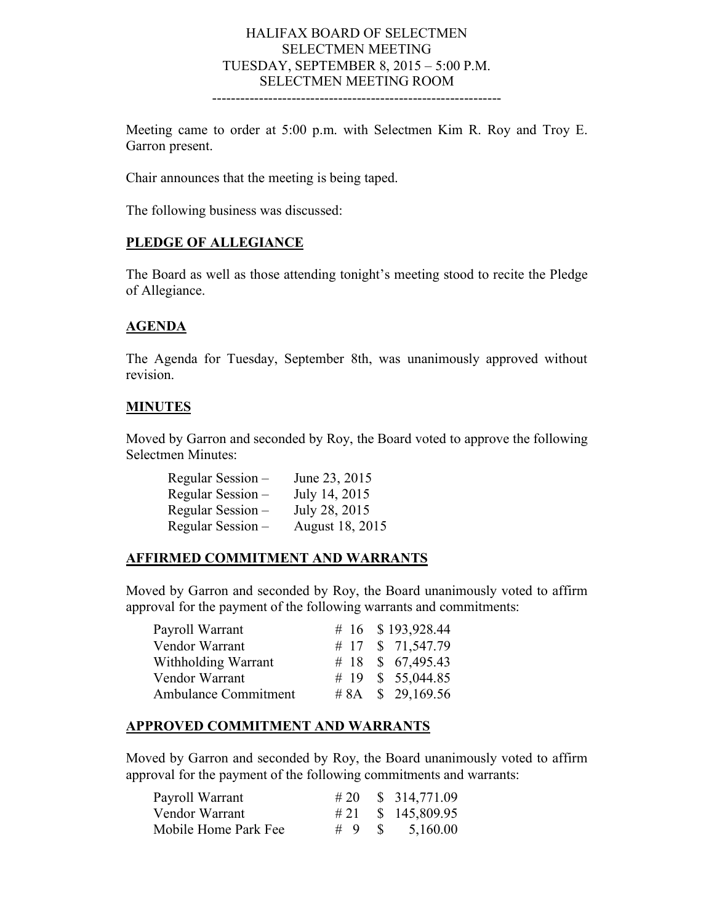#### HALIFAX BOARD OF SELECTMEN SELECTMEN MEETING TUESDAY, SEPTEMBER 8, 2015 – 5:00 P.M. SELECTMEN MEETING ROOM --------------------------------------------------------------

Meeting came to order at 5:00 p.m. with Selectmen Kim R. Roy and Troy E.

Garron present.

Chair announces that the meeting is being taped.

The following business was discussed:

### **PLEDGE OF ALLEGIANCE**

The Board as well as those attending tonight's meeting stood to recite the Pledge of Allegiance.

## **AGENDA**

The Agenda for Tuesday, September 8th, was unanimously approved without revision.

#### **MINUTES**

Moved by Garron and seconded by Roy, the Board voted to approve the following Selectmen Minutes:

| Regular Session – | June 23, 2015   |
|-------------------|-----------------|
| Regular Session – | July 14, 2015   |
| Regular Session – | July 28, 2015   |
| Regular Session – | August 18, 2015 |

#### **AFFIRMED COMMITMENT AND WARRANTS**

Moved by Garron and seconded by Roy, the Board unanimously voted to affirm approval for the payment of the following warrants and commitments:

| Payroll Warrant      |  | # 16 $$193,928.44$         |
|----------------------|--|----------------------------|
| Vendor Warrant       |  | # 17 \$ 71,547.79          |
| Withholding Warrant  |  | # 18 $\text{\$}$ 67,495.43 |
| Vendor Warrant       |  | # 19 $\text{\$}$ 55,044.85 |
| Ambulance Commitment |  | #8A $$29,169.56$           |

#### **APPROVED COMMITMENT AND WARRANTS**

Moved by Garron and seconded by Roy, the Board unanimously voted to affirm approval for the payment of the following commitments and warrants:

| Payroll Warrant      |  | # 20 \ \ \ \ \ 314,771.09 |
|----------------------|--|---------------------------|
| Vendor Warrant       |  | $\# 21 \quad $145,809.95$ |
| Mobile Home Park Fee |  |                           |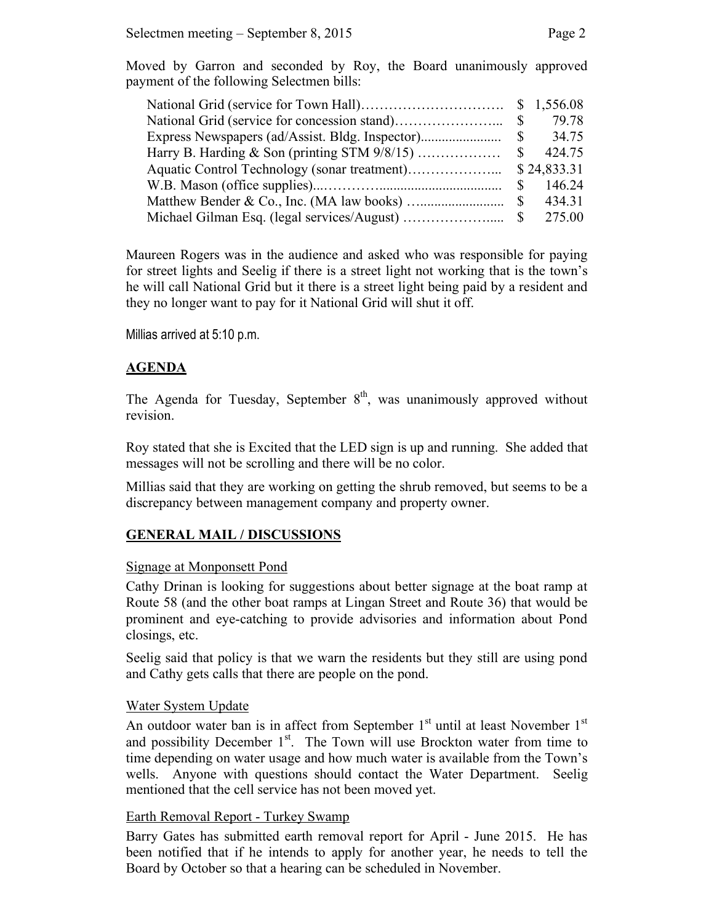Moved by Garron and seconded by Roy, the Board unanimously approved payment of the following Selectmen bills:

|                                                   |              | 79.78       |
|---------------------------------------------------|--------------|-------------|
|                                                   |              | 34.75<br>S  |
| Harry B. Harding $\&$ Son (printing STM $9/8/15)$ | -S           | 424.75      |
|                                                   |              | \$24,833.31 |
|                                                   | $\mathbb{S}$ | 146.24      |
|                                                   |              | 434.31      |
|                                                   |              |             |

Maureen Rogers was in the audience and asked who was responsible for paying for street lights and Seelig if there is a street light not working that is the town's he will call National Grid but it there is a street light being paid by a resident and they no longer want to pay for it National Grid will shut it off.

Millias arrived at 5:10 p.m.

### **AGENDA**

The Agenda for Tuesday, September  $8<sup>th</sup>$ , was unanimously approved without revision.

Roy stated that she is Excited that the LED sign is up and running. She added that messages will not be scrolling and there will be no color.

Millias said that they are working on getting the shrub removed, but seems to be a discrepancy between management company and property owner.

#### **GENERAL MAIL / DISCUSSIONS**

#### Signage at Monponsett Pond

Cathy Drinan is looking for suggestions about better signage at the boat ramp at Route 58 (and the other boat ramps at Lingan Street and Route 36) that would be prominent and eye-catching to provide advisories and information about Pond closings, etc.

Seelig said that policy is that we warn the residents but they still are using pond and Cathy gets calls that there are people on the pond.

#### Water System Update

An outdoor water ban is in affect from September  $1<sup>st</sup>$  until at least November  $1<sup>st</sup>$ and possibility December  $1<sup>st</sup>$ . The Town will use Brockton water from time to time depending on water usage and how much water is available from the Town's wells. Anyone with questions should contact the Water Department. Seelig mentioned that the cell service has not been moved yet.

#### Earth Removal Report - Turkey Swamp

Barry Gates has submitted earth removal report for April - June 2015. He has been notified that if he intends to apply for another year, he needs to tell the Board by October so that a hearing can be scheduled in November.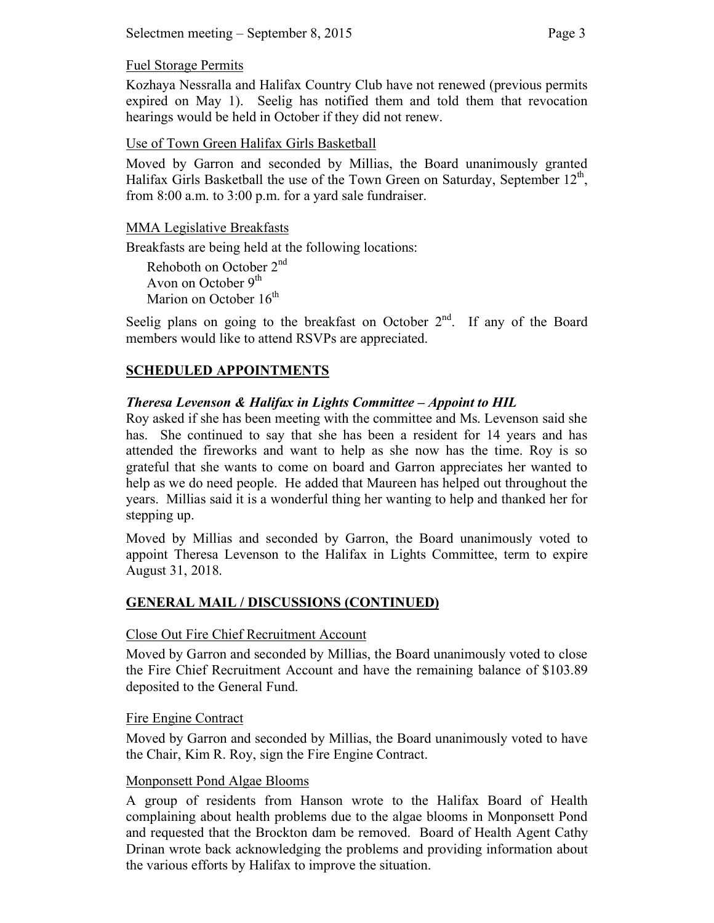## Fuel Storage Permits

Kozhaya Nessralla and Halifax Country Club have not renewed (previous permits expired on May 1). Seelig has notified them and told them that revocation hearings would be held in October if they did not renew.

## Use of Town Green Halifax Girls Basketball

Moved by Garron and seconded by Millias, the Board unanimously granted Halifax Girls Basketball the use of the Town Green on Saturday, September  $12<sup>th</sup>$ , from 8:00 a.m. to 3:00 p.m. for a yard sale fundraiser.

## MMA Legislative Breakfasts

Breakfasts are being held at the following locations:

Rehoboth on October 2nd Avon on October  $9<sup>th</sup>$ Marion on October 16<sup>th</sup>

Seelig plans on going to the breakfast on October  $2<sup>nd</sup>$ . If any of the Board members would like to attend RSVPs are appreciated.

# **SCHEDULED APPOINTMENTS**

# *Theresa Levenson & Halifax in Lights Committee – Appoint to HIL*

Roy asked if she has been meeting with the committee and Ms. Levenson said she has. She continued to say that she has been a resident for 14 years and has attended the fireworks and want to help as she now has the time. Roy is so grateful that she wants to come on board and Garron appreciates her wanted to help as we do need people. He added that Maureen has helped out throughout the years. Millias said it is a wonderful thing her wanting to help and thanked her for stepping up.

Moved by Millias and seconded by Garron, the Board unanimously voted to appoint Theresa Levenson to the Halifax in Lights Committee, term to expire August 31, 2018.

# **GENERAL MAIL / DISCUSSIONS (CONTINUED)**

## Close Out Fire Chief Recruitment Account

Moved by Garron and seconded by Millias, the Board unanimously voted to close the Fire Chief Recruitment Account and have the remaining balance of \$103.89 deposited to the General Fund.

## Fire Engine Contract

Moved by Garron and seconded by Millias, the Board unanimously voted to have the Chair, Kim R. Roy, sign the Fire Engine Contract.

## Monponsett Pond Algae Blooms

A group of residents from Hanson wrote to the Halifax Board of Health complaining about health problems due to the algae blooms in Monponsett Pond and requested that the Brockton dam be removed. Board of Health Agent Cathy Drinan wrote back acknowledging the problems and providing information about the various efforts by Halifax to improve the situation.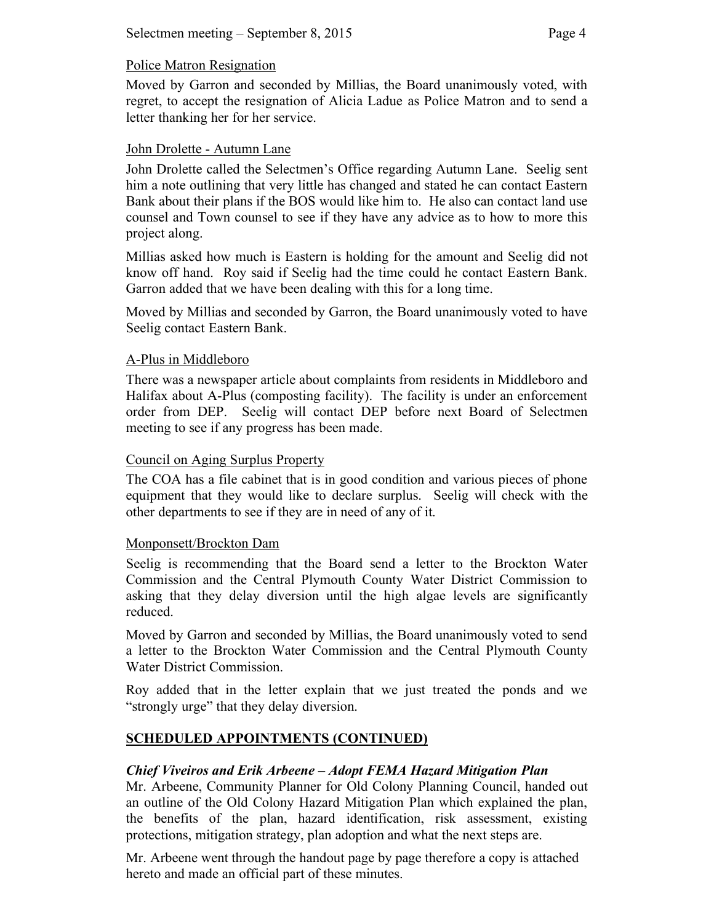Moved by Garron and seconded by Millias, the Board unanimously voted, with regret, to accept the resignation of Alicia Ladue as Police Matron and to send a letter thanking her for her service.

## John Drolette - Autumn Lane

John Drolette called the Selectmen's Office regarding Autumn Lane. Seelig sent him a note outlining that very little has changed and stated he can contact Eastern Bank about their plans if the BOS would like him to. He also can contact land use counsel and Town counsel to see if they have any advice as to how to more this project along.

Millias asked how much is Eastern is holding for the amount and Seelig did not know off hand. Roy said if Seelig had the time could he contact Eastern Bank. Garron added that we have been dealing with this for a long time.

Moved by Millias and seconded by Garron, the Board unanimously voted to have Seelig contact Eastern Bank.

## A-Plus in Middleboro

There was a newspaper article about complaints from residents in Middleboro and Halifax about A-Plus (composting facility). The facility is under an enforcement order from DEP. Seelig will contact DEP before next Board of Selectmen meeting to see if any progress has been made.

## Council on Aging Surplus Property

The COA has a file cabinet that is in good condition and various pieces of phone equipment that they would like to declare surplus. Seelig will check with the other departments to see if they are in need of any of it.

## Monponsett/Brockton Dam

Seelig is recommending that the Board send a letter to the Brockton Water Commission and the Central Plymouth County Water District Commission to asking that they delay diversion until the high algae levels are significantly reduced.

Moved by Garron and seconded by Millias, the Board unanimously voted to send a letter to the Brockton Water Commission and the Central Plymouth County Water District Commission.

Roy added that in the letter explain that we just treated the ponds and we "strongly urge" that they delay diversion.

# **SCHEDULED APPOINTMENTS (CONTINUED)**

## *Chief Viveiros and Erik Arbeene – Adopt FEMA Hazard Mitigation Plan*

Mr. Arbeene, Community Planner for Old Colony Planning Council, handed out an outline of the Old Colony Hazard Mitigation Plan which explained the plan, the benefits of the plan, hazard identification, risk assessment, existing protections, mitigation strategy, plan adoption and what the next steps are.

Mr. Arbeene went through the handout page by page therefore a copy is attached hereto and made an official part of these minutes.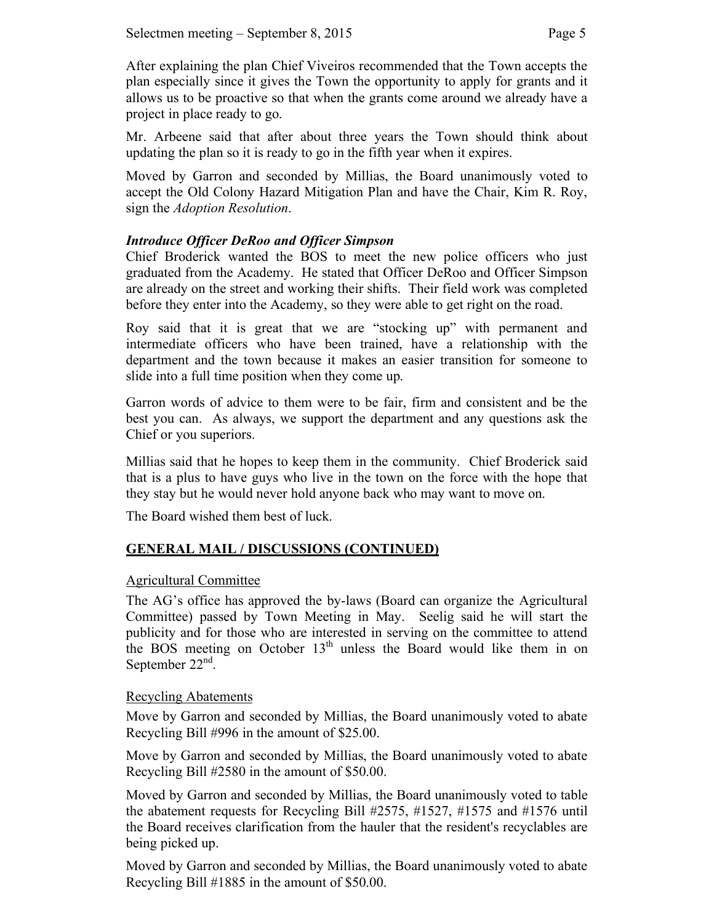After explaining the plan Chief Viveiros recommended that the Town accepts the plan especially since it gives the Town the opportunity to apply for grants and it allows us to be proactive so that when the grants come around we already have a project in place ready to go.

Mr. Arbeene said that after about three years the Town should think about updating the plan so it is ready to go in the fifth year when it expires.

Moved by Garron and seconded by Millias, the Board unanimously voted to accept the Old Colony Hazard Mitigation Plan and have the Chair, Kim R. Roy, sign the *Adoption Resolution*.

## *Introduce Officer DeRoo and Officer Simpson*

Chief Broderick wanted the BOS to meet the new police officers who just graduated from the Academy. He stated that Officer DeRoo and Officer Simpson are already on the street and working their shifts. Their field work was completed before they enter into the Academy, so they were able to get right on the road.

Roy said that it is great that we are "stocking up" with permanent and intermediate officers who have been trained, have a relationship with the department and the town because it makes an easier transition for someone to slide into a full time position when they come up.

Garron words of advice to them were to be fair, firm and consistent and be the best you can. As always, we support the department and any questions ask the Chief or you superiors.

Millias said that he hopes to keep them in the community. Chief Broderick said that is a plus to have guys who live in the town on the force with the hope that they stay but he would never hold anyone back who may want to move on.

The Board wished them best of luck.

# **GENERAL MAIL / DISCUSSIONS (CONTINUED)**

## Agricultural Committee

The AG's office has approved the by-laws (Board can organize the Agricultural Committee) passed by Town Meeting in May. Seelig said he will start the publicity and for those who are interested in serving on the committee to attend the BOS meeting on October  $13<sup>th</sup>$  unless the Board would like them in on September  $22<sup>nd</sup>$ .

#### Recycling Abatements

Move by Garron and seconded by Millias, the Board unanimously voted to abate Recycling Bill #996 in the amount of \$25.00.

Move by Garron and seconded by Millias, the Board unanimously voted to abate Recycling Bill #2580 in the amount of \$50.00.

Moved by Garron and seconded by Millias, the Board unanimously voted to table the abatement requests for Recycling Bill #2575, #1527, #1575 and #1576 until the Board receives clarification from the hauler that the resident's recyclables are being picked up.

Moved by Garron and seconded by Millias, the Board unanimously voted to abate Recycling Bill #1885 in the amount of \$50.00.